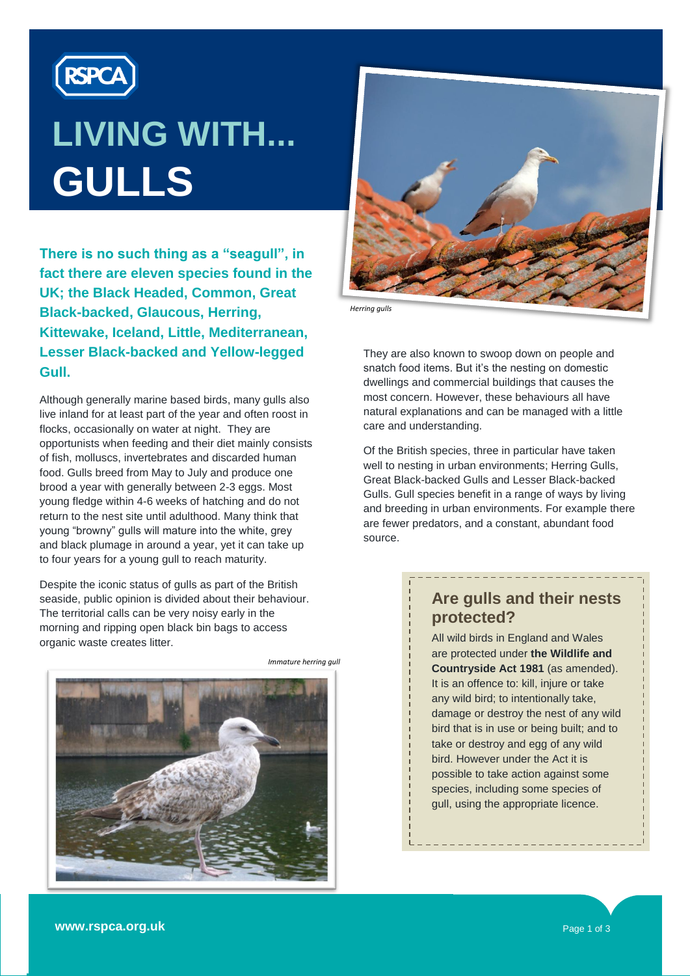

# **LIVING WITH... GULLS**

**There is no such thing as a "seagull", in fact there are eleven species found in the UK; the Black Headed, Common, Great Black-backed, Glaucous, Herring, Kittewake, Iceland, Little, Mediterranean, Lesser Black-backed and Yellow-legged Gull.** 

Although generally marine based birds, many gulls also live inland for at least part of the year and often roost in flocks, occasionally on water at night. They are opportunists when feeding and their diet mainly consists of fish, molluscs, invertebrates and discarded human food. Gulls breed from May to July and produce one brood a year with generally between 2-3 eggs. Most young fledge within 4-6 weeks of hatching and do not return to the nest site until adulthood. Many think that young "browny" gulls will mature into the white, grey and black plumage in around a year, yet it can take up to four years for a young gull to reach maturity.

Despite the iconic status of gulls as part of the British seaside, public opinion is divided about their behaviour. The territorial calls can be very noisy early in the morning and ripping open black bin bags to access organic waste creates litter.



*Immature herring gull*



*Herring gulls*

They are also known to swoop down on people and snatch food items. But it's the nesting on domestic dwellings and commercial buildings that causes the most concern. However, these behaviours all have natural explanations and can be managed with a little care and understanding.

Of the British species, three in particular have taken well to nesting in urban environments: Herring Gulls, Great Black-backed Gulls and Lesser Black-backed Gulls. Gull species benefit in a range of ways by living and breeding in urban environments. For example there are fewer predators, and a constant, abundant food source.

#### Preferred breeding sites tend to mirror the gull species' **Are gulls and their nests flat, gentlemented roofs, protected? protected?**

\_\_\_\_\_\_\_\_\_\_\_\_\_\_

 $\frac{1}{1}$  All wild birds in England and Wales roof with a state in England and Water  $\frac{1}{2}$  are prototed direct the whenever **Countryside Act 1981** (as amended). It is an offence to: kill, injure or take any wild bird; to intentionally take, damage or destroy the nest of any wild bird that is in use or being built; and to take or destroy and egg of any wild bird. However under the Act it is possible to take action against some species, including some species of gull, using the appropriate licence.

**www.rspca.org.uk** Page 1 of 3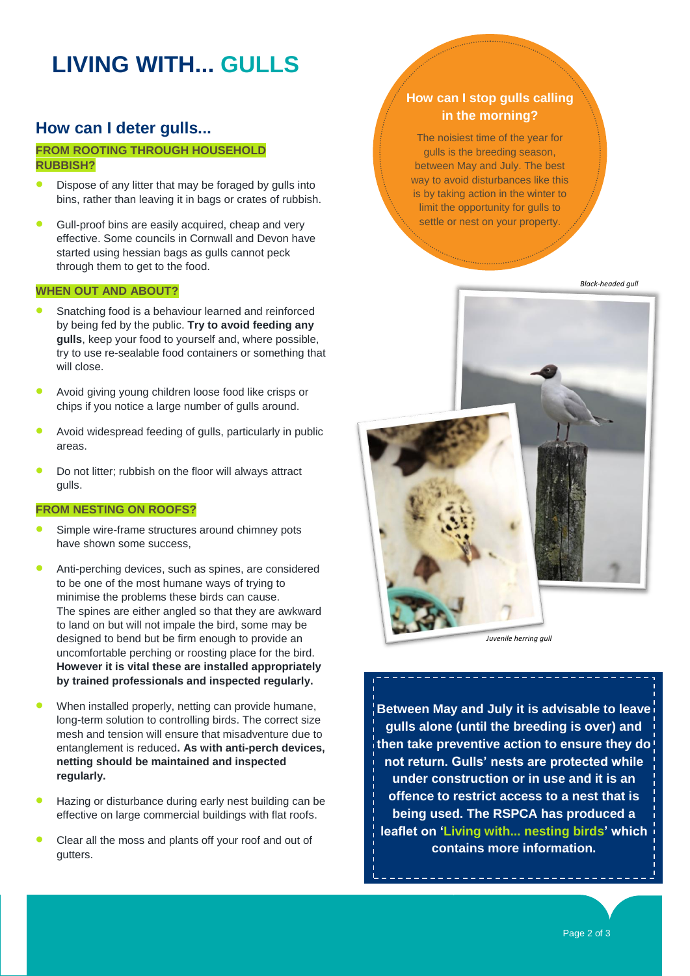# **LIVING WITH... GULLS**

### **How can I deter gulls...**

#### **FROM ROOTING THROUGH HOUSEHOLD RUBBISH?**

- Dispose of any litter that may be foraged by gulls into bins, rather than leaving it in bags or crates of rubbish.
- Gull-proof bins are easily acquired, cheap and very effective. Some councils in Cornwall and Devon have started using hessian bags as gulls cannot peck through them to get to the food.

#### **WHEN OUT AND ABOUT?**

- Snatching food is a behaviour learned and reinforced by being fed by the public. **Try to avoid feeding any gulls**, keep your food to yourself and, where possible, try to use re-sealable food containers or something that will close.
- Avoid giving young children loose food like crisps or chips if you notice a large number of gulls around.
- Avoid widespread feeding of gulls, particularly in public areas.
- Do not litter; rubbish on the floor will always attract gulls.

#### **FROM NESTING ON ROOFS?**

- Simple wire-frame structures around chimney pots have shown some success,
- Anti-perching devices, such as spines, are considered to be one of the most humane ways of trying to minimise the problems these birds can cause. The spines are either angled so that they are awkward to land on but will not impale the bird, some may be designed to bend but be firm enough to provide an uncomfortable perching or roosting place for the bird. **However it is vital these are installed appropriately by trained professionals and inspected regularly.**
- When installed properly, netting can provide humane, long-term solution to controlling birds. The correct size mesh and tension will ensure that misadventure due to entanglement is reduced**. As with anti-perch devices, netting should be maintained and inspected regularly.**
- Hazing or disturbance during early nest building can be effective on large commercial buildings with flat roofs.
- Clear all the moss and plants off your roof and out of gutters.

#### **How can I stop gulls calling in the morning?**

The noisiest time of the year for gulls is the breeding season, between May and July. The best way to avoid disturbances like this is by taking action in the winter to limit the opportunity for gulls to settle or nest on your property.

*Black-headed gull*



*Juvenile herring gull*

**Between May and July it is advisable to leave gulls alone (until the breeding is over) and then take preventive action to ensure they do not return. Gulls" nests are protected while under construction or in use and it is an offence to restrict access to a nest that is being used. The RSPCA has produced a leaflet on "Living with... nesting birds" which contains more information.**